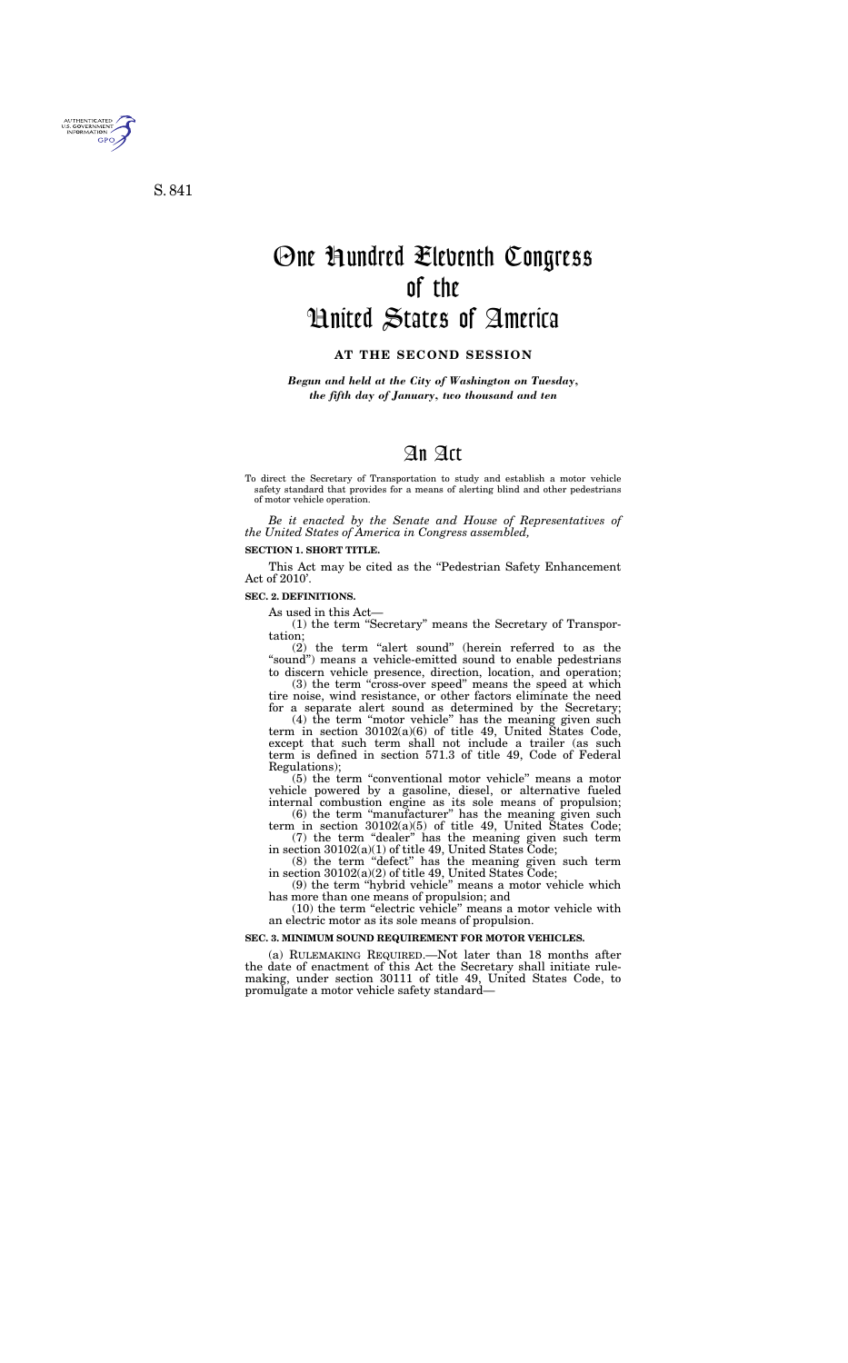# An Act

To direct the Secretary of Transportation to study and establish a motor vehicle safety standard that provides for a means of alerting blind and other pedestrians of motor vehicle operation.

*Be it enacted by the Senate and House of Representatives of the United States of America in Congress assembled,* 

### **SECTION 1. SHORT TITLE.**

This Act may be cited as the "Pedestrian Safety Enhancement" Act of 2010'.

#### **SEC. 2. DEFINITIONS.**

As used in this Act—

(1) the term ''Secretary'' means the Secretary of Transportation;

 $(2)$  the term "alert sound" (herein referred to as the "sound") means a vehicle-emitted sound to enable pedestrians to discern vehicle presence, direction, location, and operation;

(3) the term "cross-over speed" means the speed at which tire noise, wind resistance, or other factors eliminate the need for a separate alert sound as determined by the Secretary;

(4) the term ''motor vehicle'' has the meaning given such term in section 30102(a)(6) of title 49, United States Code, except that such term shall not include a trailer (as such term is defined in section 571.3 of title 49, Code of Federal Regulations);

(5) the term ''conventional motor vehicle'' means a motor vehicle powered by a gasoline, diesel, or alternative fueled internal combustion engine as its sole means of propulsion;

(6) the term ''manufacturer'' has the meaning given such term in section 30102(a)(5) of title 49, United States Code;

(7) the term ''dealer'' has the meaning given such term in section 30102(a)(1) of title 49, United States Code;

 $(8)$  the term "defect" has the meaning given such term in section 30102(a)(2) of title 49, United States Code;

(9) the term ''hybrid vehicle'' means a motor vehicle which has more than one means of propulsion; and

(10) the term ''electric vehicle'' means a motor vehicle with an electric motor as its sole means of propulsion.

#### **SEC. 3. MINIMUM SOUND REQUIREMENT FOR MOTOR VEHICLES.**

(a) RULEMAKING REQUIRED.—Not later than 18 months after the date of enactment of this Act the Secretary shall initiate rulemaking, under section 30111 of title 49, United States Code, to promulgate a motor vehicle safety standard—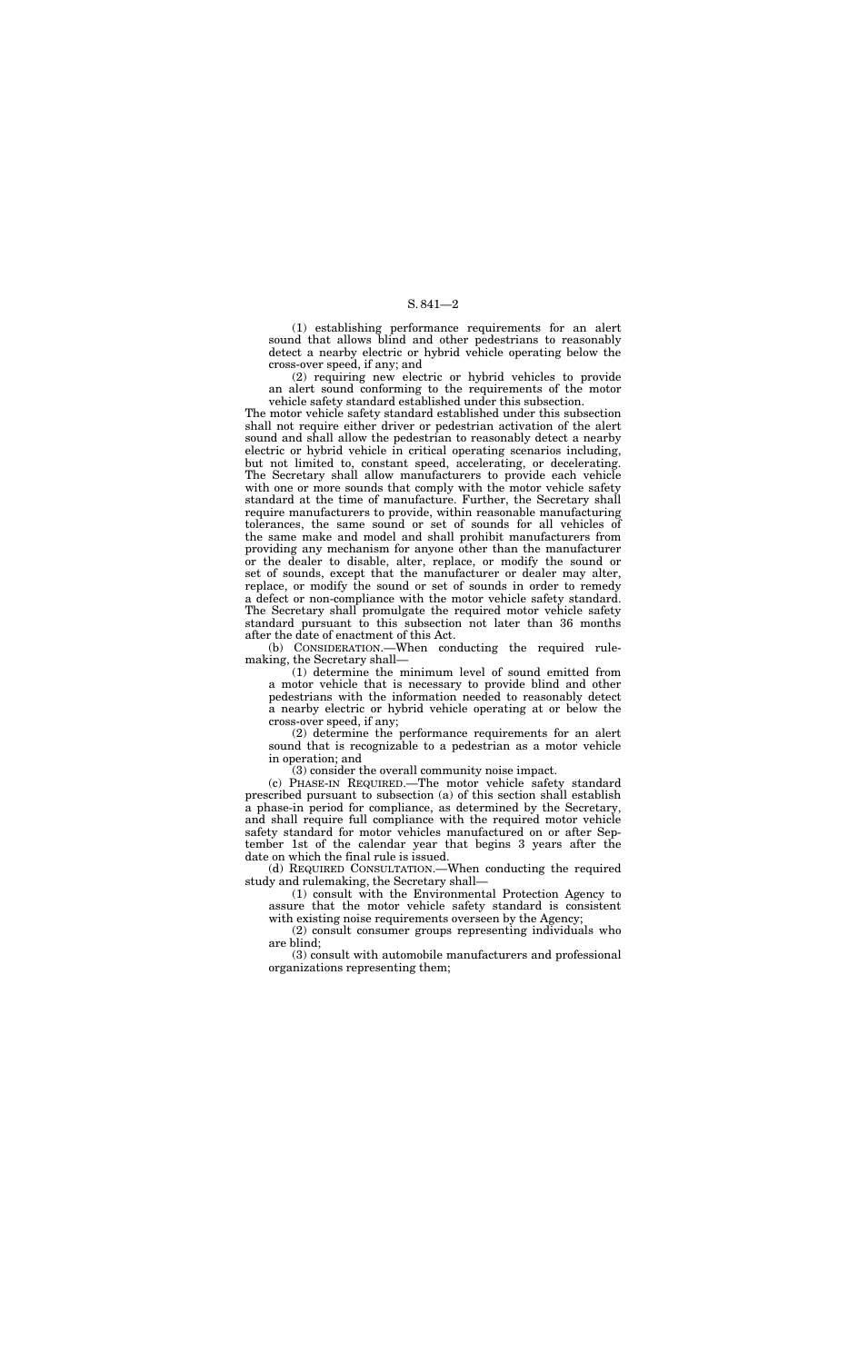## S. 841—2

(1) establishing performance requirements for an alert sound that allows blind and other pedestrians to reasonably detect a nearby electric or hybrid vehicle operating below the cross-over speed, if any; and

(2) requiring new electric or hybrid vehicles to provide an alert sound conforming to the requirements of the motor vehicle safety standard established under this subsection.

The motor vehicle safety standard established under this subsection shall not require either driver or pedestrian activation of the alert sound and shall allow the pedestrian to reasonably detect a nearby electric or hybrid vehicle in critical operating scenarios including, but not limited to, constant speed, accelerating, or decelerating. The Secretary shall allow manufacturers to provide each vehicle with one or more sounds that comply with the motor vehicle safety standard at the time of manufacture. Further, the Secretary shall require manufacturers to provide, within reasonable manufacturing tolerances, the same sound or set of sounds for all vehicles of the same make and model and shall prohibit manufacturers from providing any mechanism for anyone other than the manufacturer or the dealer to disable, alter, replace, or modify the sound or set of sounds, except that the manufacturer or dealer may alter, replace, or modify the sound or set of sounds in order to remedy a defect or non-compliance with the motor vehicle safety standard. The Secretary shall promulgate the required motor vehicle safety standard pursuant to this subsection not later than 36 months after the date of enactment of this Act.

(b) CONSIDERATION.—When conducting the required rulemaking, the Secretary shall—

(1) determine the minimum level of sound emitted from a motor vehicle that is necessary to provide blind and other pedestrians with the information needed to reasonably detect a nearby electric or hybrid vehicle operating at or below the cross-over speed, if any;

(2) determine the performance requirements for an alert sound that is recognizable to a pedestrian as a motor vehicle in operation; and

(3) consider the overall community noise impact.

(c) PHASE-IN REQUIRED.—The motor vehicle safety standard prescribed pursuant to subsection (a) of this section shall establish a phase-in period for compliance, as determined by the Secretary, and shall require full compliance with the required motor vehicle safety standard for motor vehicles manufactured on or after September 1st of the calendar year that begins 3 years after the date on which the final rule is issued.

(d) REQUIRED CONSULTATION.—When conducting the required study and rulemaking, the Secretary shall—

(1) consult with the Environmental Protection Agency to assure that the motor vehicle safety standard is consistent with existing noise requirements overseen by the Agency;

(2) consult consumer groups representing individuals who are blind;

(3) consult with automobile manufacturers and professional organizations representing them;